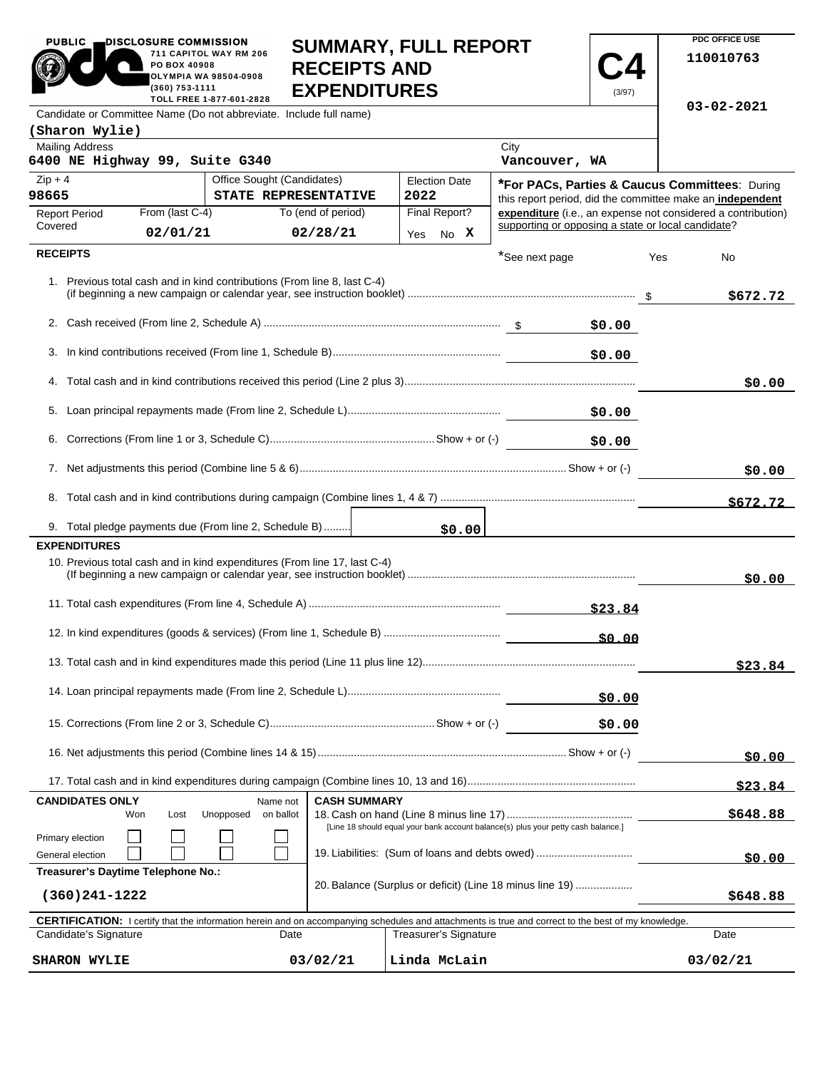| PUBLIC                                                                                                                                              | DISCLOSURE COMMISSION<br><b>SUMMARY, FULL REPORT</b><br>711 CAPITOL WAY RM 206<br><b>RECEIPTS AND</b><br>PO BOX 40908<br>OLYMPIA WA 98504-0908<br><b>EXPENDITURES</b><br>(360) 753-1111<br>(3/97)<br>TOLL FREE 1-877-601-2828 |                                                                                                          |                                                    |          |                                                              |
|-----------------------------------------------------------------------------------------------------------------------------------------------------|-------------------------------------------------------------------------------------------------------------------------------------------------------------------------------------------------------------------------------|----------------------------------------------------------------------------------------------------------|----------------------------------------------------|----------|--------------------------------------------------------------|
| Candidate or Committee Name (Do not abbreviate. Include full name)                                                                                  |                                                                                                                                                                                                                               |                                                                                                          |                                                    |          | $03 - 02 - 2021$                                             |
| (Sharon Wylie)                                                                                                                                      |                                                                                                                                                                                                                               |                                                                                                          |                                                    |          |                                                              |
| <b>Mailing Address</b><br>6400 NE Highway 99, Suite G340                                                                                            |                                                                                                                                                                                                                               |                                                                                                          | City<br>Vancouver, WA                              |          |                                                              |
| $Zip + 4$                                                                                                                                           | Office Sought (Candidates)                                                                                                                                                                                                    | <b>Election Date</b>                                                                                     |                                                    |          | *For PACs, Parties & Caucus Committees: During               |
| 98665                                                                                                                                               | STATE REPRESENTATIVE                                                                                                                                                                                                          | 2022                                                                                                     |                                                    |          | this report period, did the committee make an independent    |
| From (last C-4)<br><b>Report Period</b>                                                                                                             | To (end of period)                                                                                                                                                                                                            | Final Report?                                                                                            | supporting or opposing a state or local candidate? |          | expenditure (i.e., an expense not considered a contribution) |
| Covered<br>02/01/21                                                                                                                                 | 02/28/21                                                                                                                                                                                                                      | Yes No X                                                                                                 |                                                    |          |                                                              |
| <b>RECEIPTS</b>                                                                                                                                     |                                                                                                                                                                                                                               |                                                                                                          | *See next page                                     |          | Yes<br>No                                                    |
| 1. Previous total cash and in kind contributions (From line 8, last C-4)                                                                            |                                                                                                                                                                                                                               |                                                                                                          |                                                    |          | \$672.72                                                     |
|                                                                                                                                                     |                                                                                                                                                                                                                               |                                                                                                          |                                                    | \$0.00   |                                                              |
|                                                                                                                                                     |                                                                                                                                                                                                                               |                                                                                                          |                                                    | \$0.00   |                                                              |
|                                                                                                                                                     |                                                                                                                                                                                                                               |                                                                                                          |                                                    |          | \$0.00                                                       |
|                                                                                                                                                     |                                                                                                                                                                                                                               |                                                                                                          |                                                    | \$0.00   |                                                              |
|                                                                                                                                                     |                                                                                                                                                                                                                               |                                                                                                          |                                                    | \$0.00   |                                                              |
|                                                                                                                                                     |                                                                                                                                                                                                                               |                                                                                                          |                                                    |          | \$0.00                                                       |
|                                                                                                                                                     |                                                                                                                                                                                                                               |                                                                                                          |                                                    |          | \$672.72                                                     |
| 9. Total pledge payments due (From line 2, Schedule B)                                                                                              |                                                                                                                                                                                                                               | \$0.00                                                                                                   |                                                    |          |                                                              |
| <b>EXPENDITURES</b>                                                                                                                                 |                                                                                                                                                                                                                               |                                                                                                          |                                                    |          |                                                              |
| 10. Previous total cash and in kind expenditures (From line 17, last C-4)                                                                           |                                                                                                                                                                                                                               |                                                                                                          |                                                    |          | \$0.00                                                       |
| \$23.84                                                                                                                                             |                                                                                                                                                                                                                               |                                                                                                          |                                                    |          |                                                              |
| 50.00                                                                                                                                               |                                                                                                                                                                                                                               |                                                                                                          |                                                    |          |                                                              |
|                                                                                                                                                     |                                                                                                                                                                                                                               |                                                                                                          |                                                    |          | \$23.84                                                      |
| \$0.00                                                                                                                                              |                                                                                                                                                                                                                               |                                                                                                          |                                                    |          |                                                              |
|                                                                                                                                                     |                                                                                                                                                                                                                               |                                                                                                          |                                                    | \$0.00   |                                                              |
|                                                                                                                                                     |                                                                                                                                                                                                                               |                                                                                                          |                                                    |          | \$0.00                                                       |
|                                                                                                                                                     |                                                                                                                                                                                                                               |                                                                                                          |                                                    |          | <u>\$23.84 </u>                                              |
| <b>CANDIDATES ONLY</b><br>Lost<br>Won<br>Primary election                                                                                           | Name not<br>Unopposed<br>on ballot                                                                                                                                                                                            | <b>CASH SUMMARY</b><br>[Line 18 should equal your bank account balance(s) plus your petty cash balance.] |                                                    |          | \$648.88                                                     |
| 19. Liabilities: (Sum of loans and debts owed)<br>General election                                                                                  |                                                                                                                                                                                                                               |                                                                                                          |                                                    |          | \$0.00                                                       |
| Treasurer's Daytime Telephone No.:<br>20. Balance (Surplus or deficit) (Line 18 minus line 19)<br>$(360)241 - 1222$                                 |                                                                                                                                                                                                                               |                                                                                                          |                                                    | \$648.88 |                                                              |
| CERTIFICATION: I certify that the information herein and on accompanying schedules and attachments is true and correct to the best of my knowledge. |                                                                                                                                                                                                                               |                                                                                                          |                                                    |          |                                                              |

| <b>CERTIFICATION:</b> I certify that the information herein and on accompanying schedules and attachments is true and correct to the best of my knowledge. |          |                       |          |  |  |
|------------------------------------------------------------------------------------------------------------------------------------------------------------|----------|-----------------------|----------|--|--|
| Candidate's Signature                                                                                                                                      | Date     | Treasurer's Signature | Date     |  |  |
| <b>SHARON WYLIE</b>                                                                                                                                        | 03/02/21 | Linda McLain          | 03/02/21 |  |  |

## **SUMMARY, FULL REPORT**

PUBLIC **DISCLOSURE COMMISSION** 

**PDC OFFICE USE 110010763**